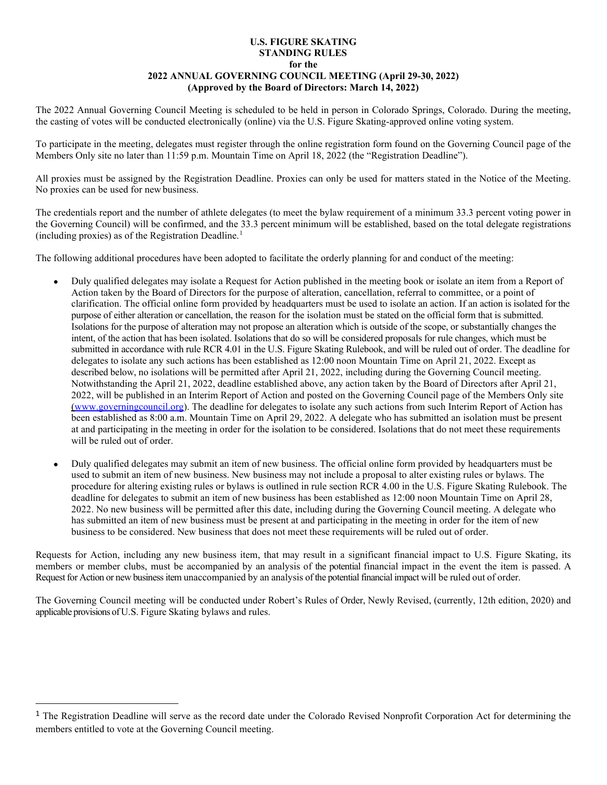## **U.S. FIGURE SKATING STANDING RULES for the 2022 ANNUAL GOVERNING COUNCIL MEETING (April 29-30, 2022) (Approved by the Board of Directors: March 14, 2022)**

The 2022 Annual Governing Council Meeting is scheduled to be held in person in Colorado Springs, Colorado. During the meeting, the casting of votes will be conducted electronically (online) via the U.S. Figure Skating-approved online voting system.

To participate in the meeting, delegates must register through the online registration form found on the Governing Council page of the Members Only site no later than 11:59 p.m. Mountain Time on April 18, 2022 (the "Registration Deadline").

All proxies must be assigned by the Registration Deadline. Proxies can only be used for matters stated in the Notice of the Meeting. No proxies can be used for new business.

The credentials report and the number of athlete delegates (to meet the bylaw requirement of a minimum 33.3 percent voting power in the Governing Council) will be confirmed, and the 33.3 percent minimum will be established, based on the total delegate registrations (including proxies) as of the Registration Deadline.[1](#page-0-0)

The following additional procedures have been adopted to facilitate the orderly planning for and conduct of the meeting:

- Duly qualified delegates may isolate a Request for Action published in the meeting book or isolate an item from a Report of Action taken by the Board of Directors for the purpose of alteration, cancellation, referral to committee, or a point of clarification. The official online form provided by headquarters must be used to isolate an action. If an action is isolated for the purpose of either alteration or cancellation, the reason for the isolation must be stated on the official form that is submitted. Isolations for the purpose of alteration may not propose an alteration which is outside of the scope, or substantially changes the intent, of the action that has been isolated. Isolations that do so will be considered proposals for rule changes, which must be submitted in accordance with rule RCR 4.01 in the U.S. Figure Skating Rulebook, and will be ruled out of order. The deadline for delegates to isolate any such actions has been established as 12:00 noon Mountain Time on April 21, 2022. Except as described below, no isolations will be permitted after April 21, 2022, including during the Governing Council meeting. Notwithstanding the April 21, 2022, deadline established above, any action taken by the Board of Directors after April 21, 2022, will be published in an Interim Report of Action and posted on the Governing Council page of the Members Only site (www.governingcouncil.org). The deadline for delegates to isolate any such actions from such Interim Report of Action has been established as 8:00 a.m. Mountain Time on April 29, 2022. A delegate who has submitted an isolation must be present at and participating in the meeting in order for the isolation to be considered. Isolations that do not meet these requirements will be ruled out of order.
- Duly qualified delegates may submit an item of new business. The official online form provided by headquarters must be used to submit an item of new business. New business may not include a proposal to alter existing rules or bylaws. The procedure for altering existing rules or bylaws is outlined in rule section RCR 4.00 in the U.S. Figure Skating Rulebook. The deadline for delegates to submit an item of new business has been established as 12:00 noon Mountain Time on April 28, 2022. No new business will be permitted after this date, including during the Governing Council meeting. A delegate who has submitted an item of new business must be present at and participating in the meeting in order for the item of new business to be considered. New business that does not meet these requirements will be ruled out of order.

Requests for Action, including any new business item, that may result in a significant financial impact to U.S. Figure Skating, its members or member clubs, must be accompanied by an analysis of the potential financial impact in the event the item is passed. A Request for Action or new business item unaccompanied by an analysis of the potential financial impact will be ruled out of order.

The Governing Council meeting will be conducted under Robert's Rules of Order, Newly Revised, (currently, 12th edition, 2020) and applicable provisions of U.S. Figure Skating bylaws and rules.

<span id="page-0-0"></span> $<sup>1</sup>$  The Registration Deadline will serve as the record date under the Colorado Revised Nonprofit Corporation Act for determining the</sup> members entitled to vote at the Governing Council meeting.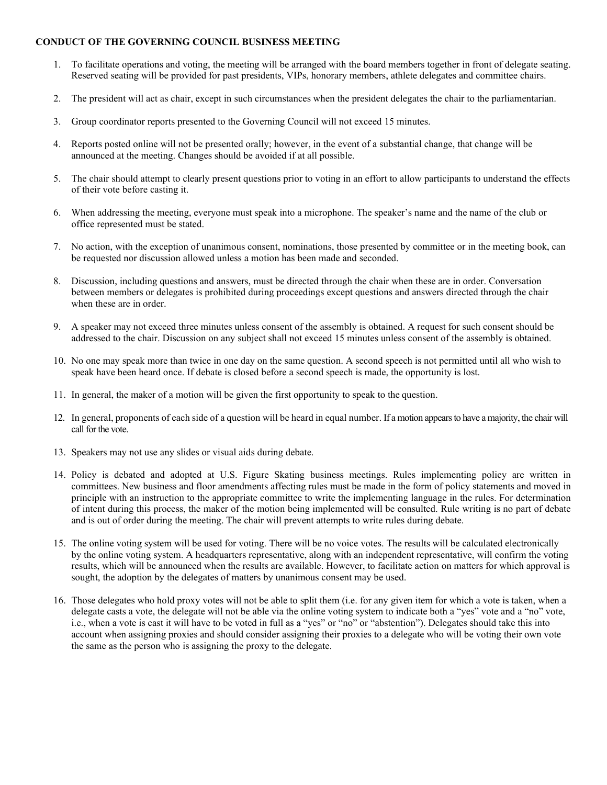## **CONDUCT OF THE GOVERNING COUNCIL BUSINESS MEETING**

- 1. To facilitate operations and voting, the meeting will be arranged with the board members together in front of delegate seating. Reserved seating will be provided for past presidents, VIPs, honorary members, athlete delegates and committee chairs.
- 2. The president will act as chair, except in such circumstances when the president delegates the chair to the parliamentarian.
- 3. Group coordinator reports presented to the Governing Council will not exceed 15 minutes.
- 4. Reports posted online will not be presented orally; however, in the event of a substantial change, that change will be announced at the meeting. Changes should be avoided if at all possible.
- 5. The chair should attempt to clearly present questions prior to voting in an effort to allow participants to understand the effects of their vote before casting it.
- 6. When addressing the meeting, everyone must speak into a microphone. The speaker's name and the name of the club or office represented must be stated.
- 7. No action, with the exception of unanimous consent, nominations, those presented by committee or in the meeting book, can be requested nor discussion allowed unless a motion has been made and seconded.
- 8. Discussion, including questions and answers, must be directed through the chair when these are in order. Conversation between members or delegates is prohibited during proceedings except questions and answers directed through the chair when these are in order.
- 9. A speaker may not exceed three minutes unless consent of the assembly is obtained. A request for such consent should be addressed to the chair. Discussion on any subject shall not exceed 15 minutes unless consent of the assembly is obtained.
- 10. No one may speak more than twice in one day on the same question. A second speech is not permitted until all who wish to speak have been heard once. If debate is closed before a second speech is made, the opportunity is lost.
- 11. In general, the maker of a motion will be given the first opportunity to speak to the question.
- 12. In general, proponents of each side of a question will be heard in equal number. If a motion appears to have a majority, the chair will call for the vote.
- 13. Speakers may not use any slides or visual aids during debate.
- 14. Policy is debated and adopted at U.S. Figure Skating business meetings. Rules implementing policy are written in committees. New business and floor amendments affecting rules must be made in the form of policy statements and moved in principle with an instruction to the appropriate committee to write the implementing language in the rules. For determination of intent during this process, the maker of the motion being implemented will be consulted. Rule writing is no part of debate and is out of order during the meeting. The chair will prevent attempts to write rules during debate.
- 15. The online voting system will be used for voting. There will be no voice votes. The results will be calculated electronically by the online voting system. A headquarters representative, along with an independent representative, will confirm the voting results, which will be announced when the results are available. However, to facilitate action on matters for which approval is sought, the adoption by the delegates of matters by unanimous consent may be used.
- 16. Those delegates who hold proxy votes will not be able to split them (i.e. for any given item for which a vote is taken, when a delegate casts a vote, the delegate will not be able via the online voting system to indicate both a "yes" vote and a "no" vote, i.e., when a vote is cast it will have to be voted in full as a "yes" or "no" or "abstention"). Delegates should take this into account when assigning proxies and should consider assigning their proxies to a delegate who will be voting their own vote the same as the person who is assigning the proxy to the delegate.